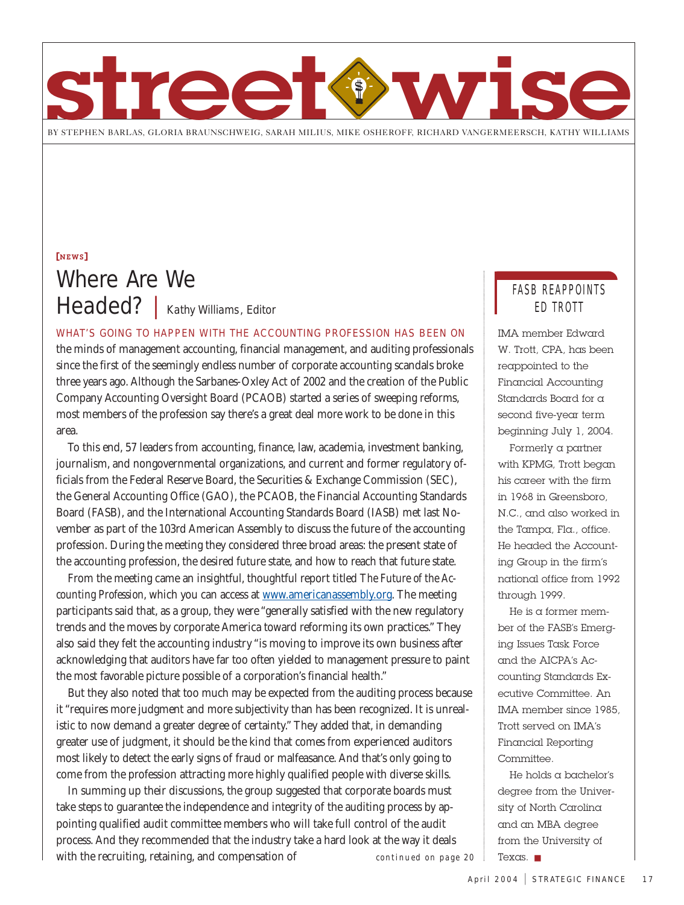

[NEWS] Where Are We Headed? | Kathy Williams, Editor

WHAT'S GOING TO HAPPEN WITH THE ACCOUNTING PROFESSION HAS BEEN ON

the minds of management accounting, financial management, and auditing professionals since the first of the seemingly endless number of corporate accounting scandals broke three years ago. Although the Sarbanes-Oxley Act of 2002 and the creation of the Public Company Accounting Oversight Board (PCAOB) started a series of sweeping reforms, most members of the profession say there's a great deal more work to be done in this area.

To this end, 57 leaders from accounting, finance, law, academia, investment banking, journalism, and nongovernmental organizations, and current and former regulatory officials from the Federal Reserve Board, the Securities & Exchange Commission (SEC), the General Accounting Office (GAO), the PCAOB, the Financial Accounting Standards Board (FASB), and the International Accounting Standards Board (IASB) met last November as part of the 103rd American Assembly to discuss the future of the accounting profession. During the meeting they considered three broad areas: the present state of the accounting profession, the desired future state, and how to reach that future state.

From the meeting came an insightful, thoughtful report titled *The Future of the Accounting Profession*, which you can access at www.americanassembly.org. The meeting participants said that, as a group, they were "generally satisfied with the new regulatory trends and the moves by corporate America toward reforming its own practices." They also said they felt the accounting industry "is moving to improve its own business after acknowledging that auditors have far too often yielded to management pressure to paint the most favorable picture possible of a corporation's financial health."

But they also noted that too much may be expected from the auditing process because it "requires more judgment and more subjectivity than has been recognized. It is unrealistic to now demand a greater degree of certainty." They added that, in demanding greater use of judgment, it should be the kind that comes from experienced auditors most likely to detect the early signs of fraud or malfeasance. And that's only going to come from the profession attracting more highly qualified people with diverse skills.

In summing up their discussions, the group suggested that corporate boards must take steps to guarantee the independence and integrity of the auditing process by appointing qualified audit committee members who will take full control of the audit process. And they recommended that the industry take a hard look at the way it deals with the recruiting, retaining, and compensation of *continued on page 20* Texas. ■

## FASB REAPPOINTS ED TROTT

IMA member Edward W. Trott, CPA, has been reappointed to the Financial Accounting Standards Board for a second five-year term beginning July 1, 2004.

Formerly a partner with KPMG, Trott began his career with the firm in 1968 in Greensboro, N.C., and also worked in the Tampa, Fla., office. He headed the Accounting Group in the firm's national office from 1992 through 1999.

He is a former member of the FASB's Emerging Issues Task Force and the AICPA's Accounting Standards Executive Committee. An IMA member since 1985, Trott served on IMA's Financial Reporting Committee.

He holds a bachelor's degree from the University of North Carolina and an MBA degree from the University of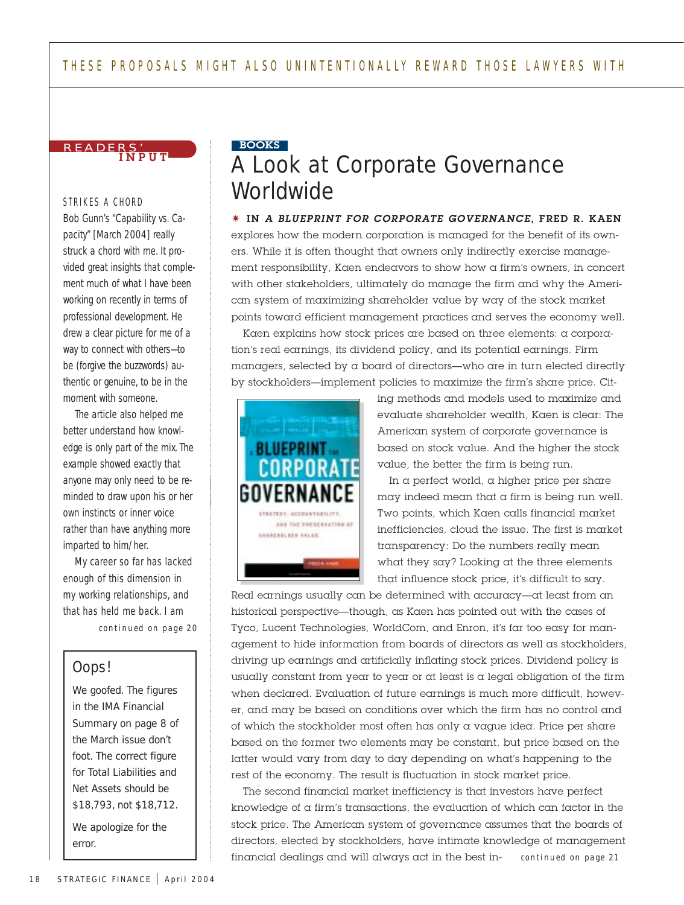

#### STRIKES A CHORD

Bob Gunn's "Capability vs. Capacity" [March 2004] really struck a chord with me. It provided great insights that complement much of what I have been working on recently in terms of professional development. He drew a clear picture for me of a way to connect with others—to be (forgive the buzzwords) authentic or genuine, to be in the moment with someone.

The article also helped me better understand how knowledge is only part of the mix. The example showed exactly that anyone may only need to be reminded to draw upon his or her own instincts or inner voice rather than have anything more imparted to him/her.

My career so far has lacked enough of this dimension in my working relationships, and that has held me back. I am *continued on page 20*

## Oops!

We goofed. The figures in the IMA Financial Summary on page 8 of the March issue don't foot. The correct figure for Total Liabilities and Net Assets should be \$18,793, not \$18,712.

We apologize for the error.

## A Look at Corporate Governance **Worldwide** BOOKS

#### ✷ IN *A BLUEPRINT FOR CORPORATE GOVERNANCE*, FRED R. KAEN

explores how the modern corporation is managed for the benefit of its owners. While it is often thought that owners only indirectly exercise management responsibility, Kaen endeavors to show how a firm's owners, in concert with other stakeholders, ultimately do manage the firm and why the American system of maximizing shareholder value by way of the stock market points toward efficient management practices and serves the economy well.

Kaen explains how stock prices are based on three elements: a corporation's real earnings, its dividend policy, and its potential earnings. Firm managers, selected by a board of directors—who are in turn elected directly by stockholders—implement policies to maximize the firm's share price. Cit-



ing methods and models used to maximize and evaluate shareholder wealth, Kaen is clear: The American system of corporate governance is based on stock value. And the higher the stock value, the better the firm is being run.

In  $\alpha$  perfect world,  $\alpha$  higher price per share may indeed mean that a firm is being run well. Two points, which Kaen calls financial market inefficiencies, cloud the issue. The first is market transparency: Do the numbers really mean what they say? Looking at the three elements that influence stock price, it's difficult to say.

Real earnings usually can be determined with accuracy—at least from an historical perspective—though, as Kaen has pointed out with the cases of Tyco, Lucent Technologies, WorldCom, and Enron, it's far too easy for management to hide information from boards of directors as well as stockholders, driving up earnings and artificially inflating stock prices. Dividend policy is usually constant from year to year or at least is a legal obligation of the firm when declared. Evaluation of future earnings is much more difficult, however, and may be based on conditions over which the firm has no control and of which the stockholder most often has only a vague idea. Price per share based on the former two elements may be constant, but price based on the latter would vary from day to day depending on what's happening to the rest of the economy. The result is fluctuation in stock market price.

The second financial market inefficiency is that investors have perfect knowledge of a firm's transactions, the evaluation of which can factor in the stock price. The American system of governance assumes that the boards of directors, elected by stockholders, have intimate knowledge of management financial dealings and will always act in the best in*continued on page 21*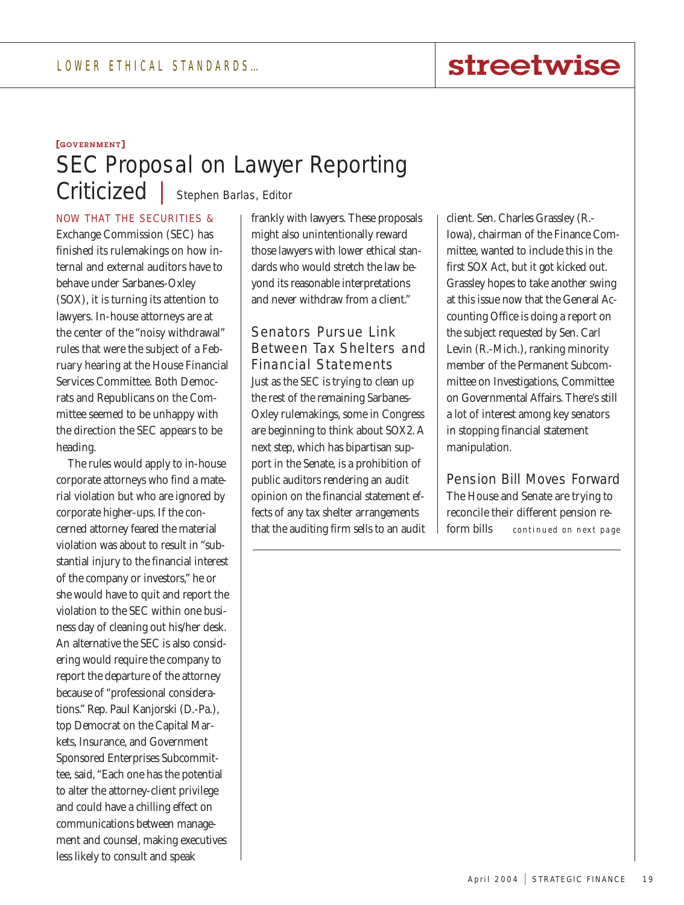# streetwise

## [GOVERNMENT] SEC Proposal on Lawyer Reporting Criticized | Stephen Barlas, Editor

NOW THAT THE SECURITIES &

Exchange Commission (SEC) has finished its rulemakings on how internal and external auditors have to behave under Sarbanes-Oxley (SOX), it is turning its attention to lawyers. In-house attorneys are at the center of the "noisy withdrawal" rules that were the subject of a February hearing at the House Financial Services Committee. Both Democrats and Republicans on the Committee seemed to be unhappy with the direction the SEC appears to be heading.

The rules would apply to in-house corporate attorneys who find a material violation but who are ignored by corporate higher-ups. If the concerned attorney feared the material violation was about to result in "substantial injury to the financial interest of the company or investors," he or she would have to quit and report the violation to the SEC within one business day of cleaning out his/her desk. An alternative the SEC is also considering would require the company to report the departure of the attorney because of "professional considerations." Rep. Paul Kanjorski (D.-Pa.), top Democrat on the Capital Markets, Insurance, and Government Sponsored Enterprises Subcommittee, said, "Each one has the potential to alter the attorney-client privilege and could have a chilling effect on communications between management and counsel, making executives less likely to consult and speak

frankly with lawyers. These proposals might also unintentionally reward those lawyers with lower ethical standards who would stretch the law beyond its reasonable interpretations and never withdraw from a client."

Senators Pursue Link Between Tax Shelters and Financial Statements Just as the SEC is trying to clean up the rest of the remaining Sarbanes-Oxley rulemakings, some in Congress are beginning to think about SOX2. A next step, which has bipartisan support in the Senate, is a prohibition of public auditors rendering an audit opinion on the financial statement effects of any tax shelter arrangements that the auditing firm sells to an audit

client. Sen. Charles Grassley (R.- Iowa), chairman of the Finance Committee, wanted to include this in the first SOX Act, but it got kicked out. Grassley hopes to take another swing at this issue now that the General Accounting Office is doing a report on the subject requested by Sen. Carl Levin (R.-Mich.), ranking minority member of the Permanent Subcommittee on Investigations, Committee on Governmental Affairs. There's still a lot of interest among key senators in stopping financial statement manipulation.

Pension Bill Moves Forward The House and Senate are trying to reconcile their different pension reform bills *continued on next page*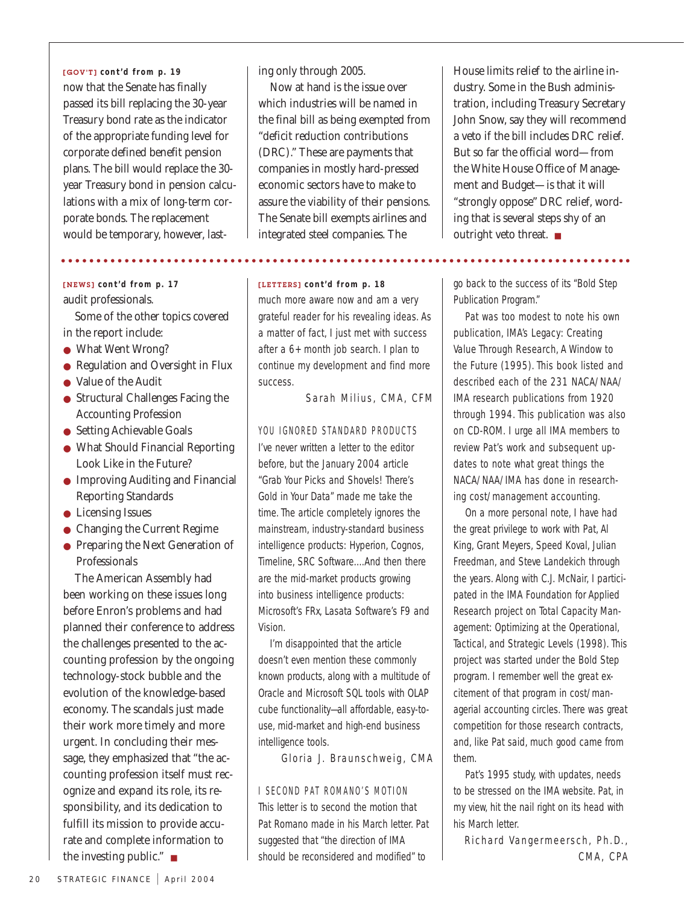now that the Senate has finally passed its bill replacing the 30-year Treasury bond rate as the indicator of the appropriate funding level for corporate defined benefit pension plans. The bill would replace the 30 year Treasury bond in pension calculations with a mix of long-term corporate bonds. The replacement would be temporary, however, last-[GOV'T] *cont'd from p. 19*

## audit professionals.

Some of the other topics covered in the report include:

- What Went Wrong?
- Regulation and Oversight in Flux
- Value of the Audit
- Structural Challenges Facing the Accounting Profession
- Setting Achievable Goals
- What Should Financial Reporting Look Like in the Future?
- Improving Auditing and Financial Reporting Standards
- Licensing Issues
- Changing the Current Regime
- Preparing the Next Generation of Professionals

The American Assembly had been working on these issues long before Enron's problems and had planned their conference to address the challenges presented to the accounting profession by the ongoing technology-stock bubble and the evolution of the knowledge-based economy. The scandals just made their work more timely and more urgent. In concluding their message, they emphasized that "the accounting profession itself must recognize and expand its role, its responsibility, and its dedication to fulfill its mission to provide accurate and complete information to the investing public." ■

ing only through 2005.

Now at hand is the issue over which industries will be named in the final bill as being exempted from "deficit reduction contributions (DRC)." These are payments that companies in mostly hard-pressed economic sectors have to make to assure the viability of their pensions. The Senate bill exempts airlines and integrated steel companies. The

[NEWS] *cont'd from p. 17* [LETTERS] *cont'd from p. 18* much more aware now and am a very grateful reader for his revealing ideas. As a matter of fact, I just met with success after a 6+ month job search. I plan to continue my development and find more success.

Sarah Milius, CMA, CFM

### YOU IGNORED STANDARD PRODUCTS

I've never written a letter to the editor before, but the January 2004 article "Grab Your Picks and Shovels! There's Gold in Your Data" made me take the time. The article completely ignores the mainstream, industry-standard business intelligence products: Hyperion, Cognos, Timeline, SRC Software….And then there are the mid-market products growing into business intelligence products: Microsoft's FRx, Lasata Software's F9 and Vision.

I'm disappointed that the article doesn't even mention these commonly known products, along with a multitude of Oracle and Microsoft SQL tools with OLAP cube functionality—all affordable, easy-touse, mid-market and high-end business intelligence tools.

Gloria J. Braunschweig, CMA

### I SECOND PAT ROMANO'S MOTION

This letter is to second the motion that Pat Romano made in his March letter. Pat suggested that "the direction of IMA should be reconsidered and modified" to

House limits relief to the airline industry. Some in the Bush administration, including Treasury Secretary John Snow, say they will recommend a veto if the bill includes DRC relief. But so far the official word—from the White House Office of Management and Budget—is that it will "strongly oppose" DRC relief, wording that is several steps shy of an outright veto threat. ■

go back to the success of its "Bold Step Publication Program."

Pat was too modest to note his own publication, *IMA's Legacy: Creating Value Through Research, A Window to the Future* (1995). This book listed and described each of the 231 NACA/NAA/ IMA research publications from 1920 through 1994. This publication was also on CD-ROM. I urge all IMA members to review Pat's work and subsequent updates to note what great things the NACA/NAA/IMA has done in researching cost/management accounting.

On a more personal note, I have had the great privilege to work with Pat, Al King, Grant Meyers, Speed Koval, Julian Freedman, and Steve Landekich through the years. Along with C.J. McNair, I participated in the IMA Foundation for Applied Research project on *Total Capacity Management: Optimizing at the Operational, Tactical, and Strategic Levels* (1998). This project was started under the Bold Step program. I remember well the great excitement of that program in cost/managerial accounting circles. There was great competition for those research contracts, and, like Pat said, much good came from them.

Pat's 1995 study, with updates, needs to be stressed on the IMA website. Pat, in my view, hit the nail right on its head with his March letter.

Richard Vangermeersch, Ph.D., CMA, CPA